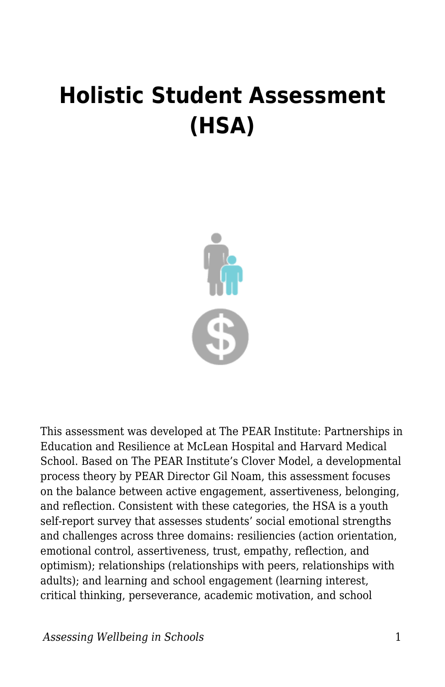## **Holistic Student Assessment (HSA)**



This assessment was developed at The PEAR Institute: Partnerships in Education and Resilience at McLean Hospital and Harvard Medical School. Based on The PEAR Institute's Clover Model, a developmental process theory by PEAR Director Gil Noam, this assessment focuses on the balance between active engagement, assertiveness, belonging, and reflection. Consistent with these categories, the HSA is a youth self-report survey that assesses students' social emotional strengths and challenges across three domains: resiliencies (action orientation, emotional control, assertiveness, trust, empathy, reflection, and optimism); relationships (relationships with peers, relationships with adults); and learning and school engagement (learning interest, critical thinking, perseverance, academic motivation, and school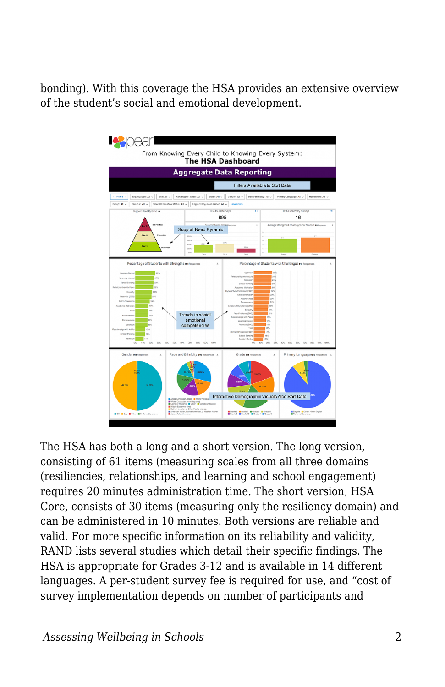bonding). With this coverage the HSA provides an extensive overview of the student's social and emotional development.



The HSA has both a long and a short version. The long version, consisting of 61 items (measuring scales from all three domains (resiliencies, relationships, and learning and school engagement) requires 20 minutes administration time. The short version, HSA Core, consists of 30 items (measuring only the resiliency domain) and can be administered in 10 minutes. Both versions are reliable and valid. For more specific information on its reliability and validity, RAND lists several studies which detail their specific findings. The HSA is appropriate for Grades 3-12 and is available in 14 different languages. A per-student survey fee is required for use, and "cost of survey implementation depends on number of participants and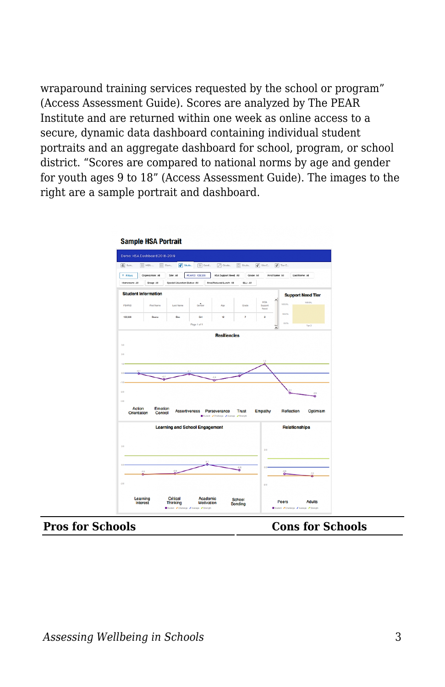wraparound training services requested by the school or program" (Access Assessment Guide). Scores are analyzed by The PEAR Institute and are returned within one week as online access to a secure, dynamic data dashboard containing individual student portraits and an aggregate dashboard for school, program, or school district. "Scores are compared to national norms by age and gender for youth ages 9 to 18" (Access Assessment Guide). The images to the right are a sample portrait and dashboard.

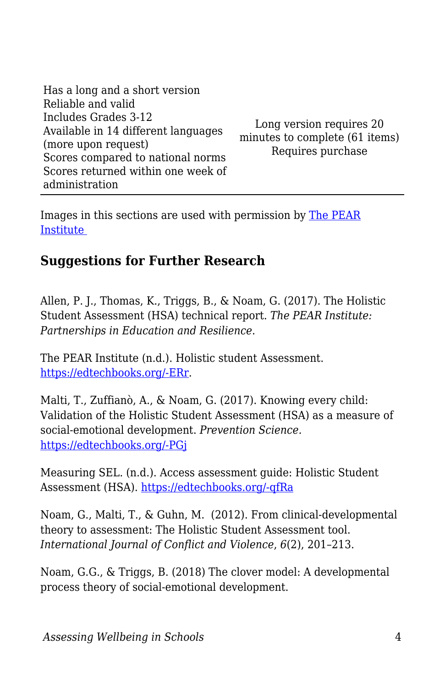| Has a long and a short version                             |                                                            |
|------------------------------------------------------------|------------------------------------------------------------|
| Reliable and valid                                         |                                                            |
| Includes Grades 3-12                                       | Long version requires 20<br>minutes to complete (61 items) |
| Available in 14 different languages<br>(more upon request) |                                                            |
| Scores compared to national norms                          | Requires purchase                                          |
| Scores returned within one week of<br>administration       |                                                            |
|                                                            |                                                            |

Images in this sections are used with permission by [The PEAR](https://www.thepearinstitute.org/holistic-student-assessment) [Institute](https://www.thepearinstitute.org/holistic-student-assessment) 

## **Suggestions for Further Research**

Allen, P. J., Thomas, K., Triggs, B., & Noam, G. (2017). The Holistic Student Assessment (HSA) technical report. *The PEAR Institute: Partnerships in Education and Resilience.*

The PEAR Institute (n.d.). Holistic student Assessment. [https://edtechbooks.org/-ERr](https://www.thepearinstitute.org/holistic-student-assessment).

Malti, T., Zuffianò, A., & Noam, G. (2017). Knowing every child: Validation of the Holistic Student Assessment (HSA) as a measure of social-emotional development. *Prevention Science.* [https://edtechbooks.org/-PGj](https://edtechbooks.org/wellbeing/about:blank)

Measuring SEL. (n.d.). Access assessment guide: Holistic Student Assessment (HSA). [https://edtechbooks.org/-qfRa](https://measuringsel.casel.org/assessment-guide/measure/holistic-student-assessment-hsa/)

Noam, G., Malti, T., & Guhn, M. (2012). From clinical-developmental theory to assessment: The Holistic Student Assessment tool. *International Journal of Conflict and Violence*, *6*(2), 201–213.

Noam, G.G., & Triggs, B. (2018) The clover model: A developmental process theory of social-emotional development.